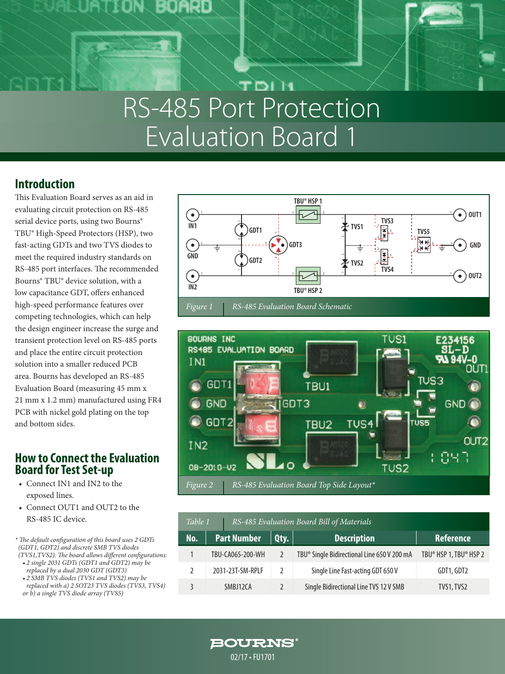

# RS-485 Port Protection Evaluation Board 1

### **Introduction**

This Evaluation Board serves as an aid in evaluating circuit protection on RS-485 serial device ports, using two Bourns® TBU® High-Speed Protectors (HSP), two fast-acting GDTs and two TVS diodes to meet the required industry standards on RS-485 port interfaces. The recommended Bourns® TBU® device solution, with a low capacitance GDT, offers enhanced high-speed performance features over competing technologies, which can help the design engineer increase the surge and transient protection level on RS-485 ports and place the entire circuit protection solution into a smaller reduced PCB area. Bourns has developed an RS-485 Evaluation Board (measuring 45 mm x 21 mm x 1.2 mm) manufactured using FR4 PCB with nickel gold plating on the top and bottom sides.

### **How to Connect the Evaluation Board for Test Set-up**

- Connect IN1 and IN2 to the exposed lines.
- Connect OUT1 and OUT2 to the RS-485 IC device.

*\* The default configuration of this board uses 2 GDTs (GDT1, GDT2) and discrete SMB TVS diodes (TVS1,TVS2). The board allows different configurations:* 

- *• 2 single 2031 GDTs (GDT1 and GDT2) may be replaced by a dual 2030 GDT (GDT3)*
- *• 2 SMB TVS diodes (TVS1 and TVS2) may be replaced with a) 2 SOT23 TVS diodes (TVS3, TVS4) or b) a single TVS diode array (TVS5)*





| RS-485 Evaluation Board Bill of Materials<br>Table 1 |                    |               |                                                         |                        |
|------------------------------------------------------|--------------------|---------------|---------------------------------------------------------|------------------------|
| No.                                                  | <b>Part Number</b> | Qty.          | <b>Description</b>                                      | <b>Reference</b>       |
|                                                      | TBU-CA065-200-WH   |               | TBU <sup>®</sup> Single Bidirectional Line 650 V 200 mA | TBU® HSP 1, TBU® HSP 2 |
|                                                      | 2031-23T-SM-RPLF   | $\mathcal{L}$ | Single Line Fast-acting GDT 650 V                       | GDT1, GDT2             |
|                                                      | SMBJ12CA           |               | Single Bidirectional Line TVS 12 V SMB                  | TVS1, TVS2             |

**BOURNS®** 02/17 • FU1701